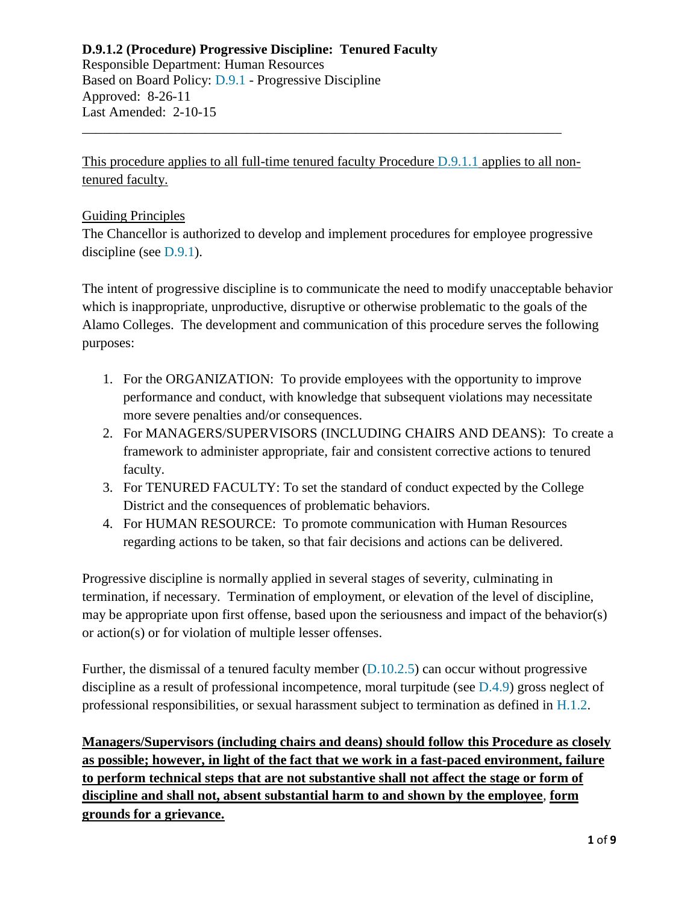Responsible Department: Human Resources Based on Board Policy: [D.9.1](https://www.alamo.edu/siteassets/district/about-us/leadership/board-of-trustees/policies-pdfs/section-d/d.9.1-policy.pdf) - Progressive Discipline Approved: 8-26-11 Last Amended: 2-10-15

This procedure applies to all full-time tenured faculty Procedure [D.9.1.1](https://www.alamo.edu/siteassets/district/about-us/leadership/board-of-trustees/policies-pdfs/section-d/d.9.1.1-procedure.pdf) applies to all nontenured faculty.

\_\_\_\_\_\_\_\_\_\_\_\_\_\_\_\_\_\_\_\_\_\_\_\_\_\_\_\_\_\_\_\_\_\_\_\_\_\_\_\_\_\_\_\_\_\_\_\_\_\_\_\_\_\_\_\_\_\_\_\_\_\_\_\_\_\_\_\_\_\_

#### Guiding Principles

The Chancellor is authorized to develop and implement procedures for employee progressive discipline (see [D.9.1\)](https://www.alamo.edu/siteassets/district/about-us/leadership/board-of-trustees/policies-pdfs/section-d/d.9.1-policy.pdf).

The intent of progressive discipline is to communicate the need to modify unacceptable behavior which is inappropriate, unproductive, disruptive or otherwise problematic to the goals of the Alamo Colleges. The development and communication of this procedure serves the following purposes:

- 1. For the ORGANIZATION: To provide employees with the opportunity to improve performance and conduct, with knowledge that subsequent violations may necessitate more severe penalties and/or consequences.
- 2. For MANAGERS/SUPERVISORS (INCLUDING CHAIRS AND DEANS): To create a framework to administer appropriate, fair and consistent corrective actions to tenured faculty.
- 3. For TENURED FACULTY: To set the standard of conduct expected by the College District and the consequences of problematic behaviors.
- 4. For HUMAN RESOURCE: To promote communication with Human Resources regarding actions to be taken, so that fair decisions and actions can be delivered.

Progressive discipline is normally applied in several stages of severity, culminating in termination, if necessary. Termination of employment, or elevation of the level of discipline, may be appropriate upon first offense, based upon the seriousness and impact of the behavior(s) or action(s) or for violation of multiple lesser offenses.

Further, the dismissal of a tenured faculty member [\(D.10.2.5\)](https://www.alamo.edu/siteassets/district/about-us/leadership/board-of-trustees/policies-pdfs/section-d/d.10.2.5-procedure.pdf) can occur without progressive discipline as a result of professional incompetence, moral turpitude (see [D.4.9\)](https://www.alamo.edu/siteassets/district/about-us/leadership/board-of-trustees/policies-pdfs/section-d/d.4.9-policy.pdf) gross neglect of professional responsibilities, or sexual harassment subject to termination as defined in [H.1.2.](https://www.alamo.edu/siteassets/district/about-us/leadership/board-of-trustees/policies-pdfs/section-h/h.1.2-policy.pdf)

**Managers/Supervisors (including chairs and deans) should follow this Procedure as closely as possible; however, in light of the fact that we work in a fast-paced environment, failure to perform technical steps that are not substantive shall not affect the stage or form of discipline and shall not, absent substantial harm to and shown by the employee***,* **form grounds for a grievance.**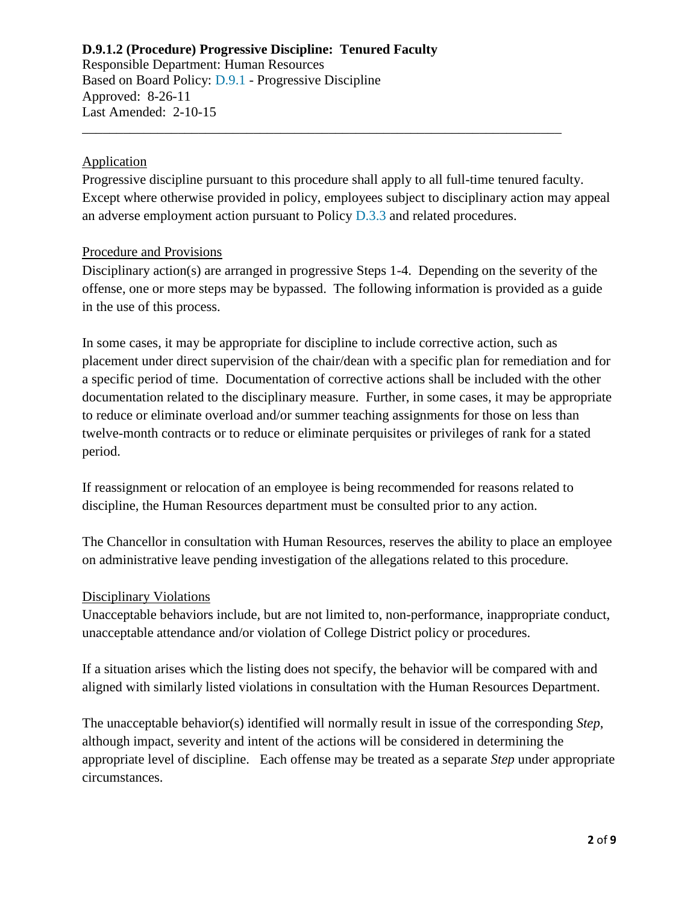Responsible Department: Human Resources Based on Board Policy: [D.9.1](https://www.alamo.edu/siteassets/district/about-us/leadership/board-of-trustees/policies-pdfs/section-d/d.9.1-policy.pdf) - Progressive Discipline Approved: 8-26-11 Last Amended: 2-10-15

#### Application

Progressive discipline pursuant to this procedure shall apply to all full-time tenured faculty. Except where otherwise provided in policy, employees subject to disciplinary action may appeal an adverse employment action pursuant to Policy [D.3.3](https://www.alamo.edu/siteassets/district/about-us/leadership/board-of-trustees/policies-pdfs/section-d/d.3.3-policy.pdf) and related procedures.

\_\_\_\_\_\_\_\_\_\_\_\_\_\_\_\_\_\_\_\_\_\_\_\_\_\_\_\_\_\_\_\_\_\_\_\_\_\_\_\_\_\_\_\_\_\_\_\_\_\_\_\_\_\_\_\_\_\_\_\_\_\_\_\_\_\_\_\_\_\_

#### Procedure and Provisions

Disciplinary action(s) are arranged in progressive Steps 1-4. Depending on the severity of the offense, one or more steps may be bypassed. The following information is provided as a guide in the use of this process.

In some cases, it may be appropriate for discipline to include corrective action, such as placement under direct supervision of the chair/dean with a specific plan for remediation and for a specific period of time. Documentation of corrective actions shall be included with the other documentation related to the disciplinary measure. Further, in some cases, it may be appropriate to reduce or eliminate overload and/or summer teaching assignments for those on less than twelve-month contracts or to reduce or eliminate perquisites or privileges of rank for a stated period.

If reassignment or relocation of an employee is being recommended for reasons related to discipline, the Human Resources department must be consulted prior to any action.

The Chancellor in consultation with Human Resources, reserves the ability to place an employee on administrative leave pending investigation of the allegations related to this procedure.

#### Disciplinary Violations

Unacceptable behaviors include, but are not limited to, non-performance, inappropriate conduct, unacceptable attendance and/or violation of College District policy or procedures.

If a situation arises which the listing does not specify, the behavior will be compared with and aligned with similarly listed violations in consultation with the Human Resources Department.

The unacceptable behavior(s) identified will normally result in issue of the corresponding *Step*, although impact, severity and intent of the actions will be considered in determining the appropriate level of discipline. Each offense may be treated as a separate *Step* under appropriate circumstances.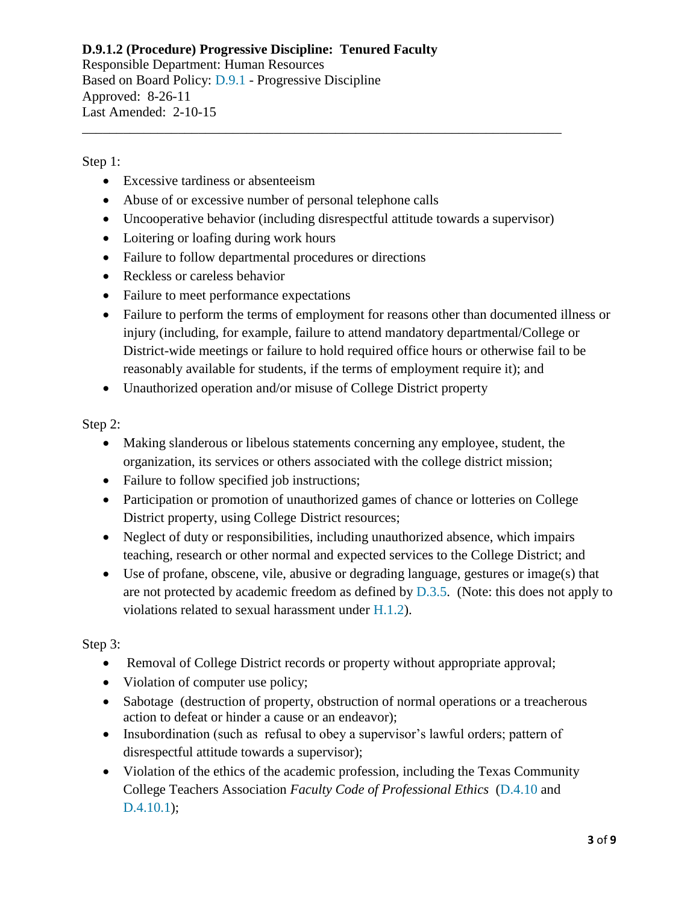Responsible Department: Human Resources Based on Board Policy: [D.9.1](https://www.alamo.edu/siteassets/district/about-us/leadership/board-of-trustees/policies-pdfs/section-d/d.9.1-policy.pdf) - Progressive Discipline Approved: 8-26-11 Last Amended: 2-10-15

Step 1:

- Excessive tardiness or absenteeism
- Abuse of or excessive number of personal telephone calls
- Uncooperative behavior (including disrespectful attitude towards a supervisor)

\_\_\_\_\_\_\_\_\_\_\_\_\_\_\_\_\_\_\_\_\_\_\_\_\_\_\_\_\_\_\_\_\_\_\_\_\_\_\_\_\_\_\_\_\_\_\_\_\_\_\_\_\_\_\_\_\_\_\_\_\_\_\_\_\_\_\_\_\_\_

- Loitering or loafing during work hours
- Failure to follow departmental procedures or directions
- Reckless or careless behavior
- Failure to meet performance expectations
- Failure to perform the terms of employment for reasons other than documented illness or injury (including, for example, failure to attend mandatory departmental/College or District-wide meetings or failure to hold required office hours or otherwise fail to be reasonably available for students, if the terms of employment require it); and
- Unauthorized operation and/or misuse of College District property

Step 2:

- Making slanderous or libelous statements concerning any employee, student, the organization, its services or others associated with the college district mission;
- Failure to follow specified job instructions;
- Participation or promotion of unauthorized games of chance or lotteries on College District property, using College District resources;
- Neglect of duty or responsibilities, including unauthorized absence, which impairs teaching, research or other normal and expected services to the College District; and
- Use of profane, obscene, vile, abusive or degrading language, gestures or image(s) that are not protected by academic freedom as defined by [D.3.5.](https://www.alamo.edu/siteassets/district/about-us/leadership/board-of-trustees/policies-pdfs/section-d/d.3.5-policy.pdf) (Note: this does not apply to violations related to sexual harassment under [H.1.2\)](https://www.alamo.edu/siteassets/district/about-us/leadership/board-of-trustees/policies-pdfs/section-h/h.1.2-policy.pdf).

Step 3:

- Removal of College District records or property without appropriate approval;
- Violation of computer use policy;
- Sabotage (destruction of property, obstruction of normal operations or a treacherous action to defeat or hinder a cause or an endeavor);
- Insubordination (such as refusal to obey a supervisor's lawful orders; pattern of disrespectful attitude towards a supervisor);
- Violation of the ethics of the academic profession, including the Texas Community College Teachers Association *Faculty Code of Professional Ethics* [\(D.4.10](https://www.alamo.edu/siteassets/district/about-us/leadership/board-of-trustees/policies-pdfs/section-d/d.4.10-policy.pdf) and [D.4.10.1\)](https://www.alamo.edu/siteassets/district/about-us/leadership/board-of-trustees/policies-pdfs/section-d/d.4.10.1-procedure.pdf);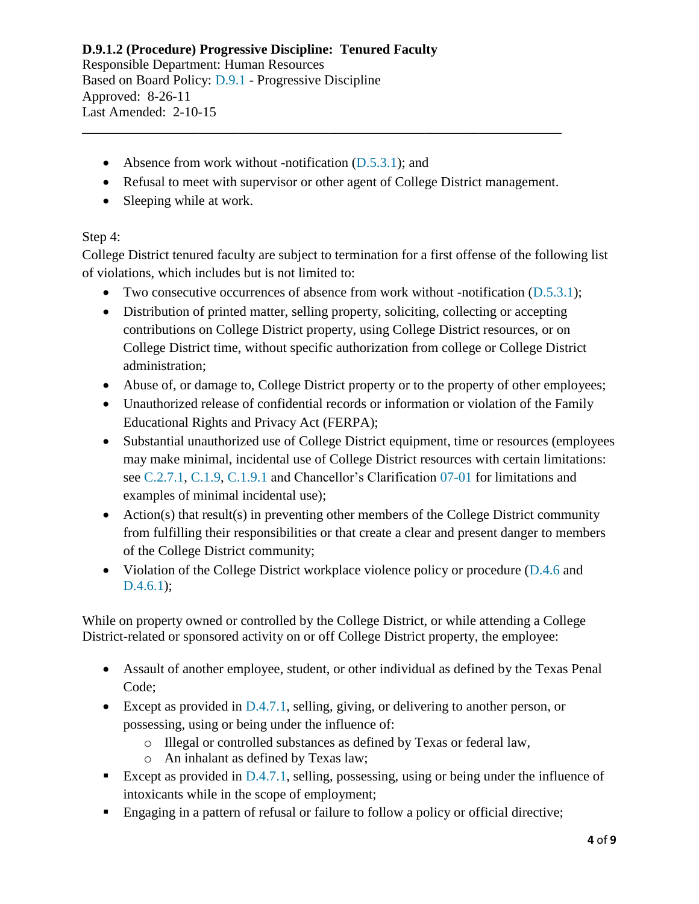#### **D.9.1.2 (Procedure) Progressive Discipline: Tenured Faculty** Responsible Department: Human Resources Based on Board Policy: [D.9.1](https://www.alamo.edu/siteassets/district/about-us/leadership/board-of-trustees/policies-pdfs/section-d/d.9.1-policy.pdf) - Progressive Discipline

Approved: 8-26-11 Last Amended: 2-10-15

- Absence from work without -notification [\(D.5.3.1\)](https://www.alamo.edu/siteassets/district/about-us/leadership/board-of-trustees/policies-pdfs/section-d/d.5.3.1-procedure.pdf); and
- Refusal to meet with supervisor or other agent of College District management.

\_\_\_\_\_\_\_\_\_\_\_\_\_\_\_\_\_\_\_\_\_\_\_\_\_\_\_\_\_\_\_\_\_\_\_\_\_\_\_\_\_\_\_\_\_\_\_\_\_\_\_\_\_\_\_\_\_\_\_\_\_\_\_\_\_\_\_\_\_\_

• Sleeping while at work.

## Step 4:

College District tenured faculty are subject to termination for a first offense of the following list of violations, which includes but is not limited to:

- Two consecutive occurrences of absence from work without -notification [\(D.5.3.1\)](https://www.alamo.edu/siteassets/district/about-us/leadership/board-of-trustees/policies-pdfs/section-d/d.5.3.1-procedure.pdf);
- Distribution of printed matter, selling property, soliciting, collecting or accepting contributions on College District property, using College District resources, or on College District time, without specific authorization from college or College District administration;
- Abuse of, or damage to, College District property or to the property of other employees;
- Unauthorized release of confidential records or information or violation of the Family Educational Rights and Privacy Act (FERPA);
- Substantial unauthorized use of College District equipment, time or resources (employees may make minimal, incidental use of College District resources with certain limitations: see [C.2.7.1,](https://www.alamo.edu/siteassets/district/about-us/leadership/board-of-trustees/policies-pdfs/section-c/c.2.7.1-procedure.pdf) [C.1.9,](https://www.alamo.edu/siteassets/district/about-us/leadership/board-of-trustees/policies-pdfs/section-c/c.1.9-policy.pdf) [C.1.9.1](https://www.alamo.edu/siteassets/district/about-us/leadership/board-of-trustees/policies-pdfs/section-c/c.1.9.1-procedure.pdf) and Chancellor's Clarification [07-01](http://share.alamo.edu/ethics/clarifications/07-01-Appropriate-Use-of-ACCD-Resources.pdf) for limitations and examples of minimal incidental use);
- Action(s) that result(s) in preventing other members of the College District community from fulfilling their responsibilities or that create a clear and present danger to members of the College District community;
- Violation of the College District workplace violence policy or procedure [\(D.4.6](https://www.alamo.edu/siteassets/district/about-us/leadership/board-of-trustees/policies-pdfs/section-d/d.4.6-policy.pdf) and [D.4.6.1\)](https://www.alamo.edu/siteassets/district/about-us/leadership/board-of-trustees/policies-pdfs/section-d/d.4.6.1-procedure.pdf);

While on property owned or controlled by the College District, or while attending a College District-related or sponsored activity on or off College District property, the employee:

- Assault of another employee, student, or other individual as defined by the Texas Penal Code;
- Except as provided in [D.4.7.1,](https://www.alamo.edu/siteassets/district/about-us/leadership/board-of-trustees/policies-pdfs/section-d/d.4.7.1-procedure3.pdf) selling, giving, or delivering to another person, or possessing, using or being under the influence of:
	- o Illegal or controlled substances as defined by Texas or federal law,
	- o An inhalant as defined by Texas law;
- Except as provided in  $D.4.7.1$ , selling, possessing, using or being under the influence of intoxicants while in the scope of employment;
- **Engaging in a pattern of refusal or failure to follow a policy or official directive;**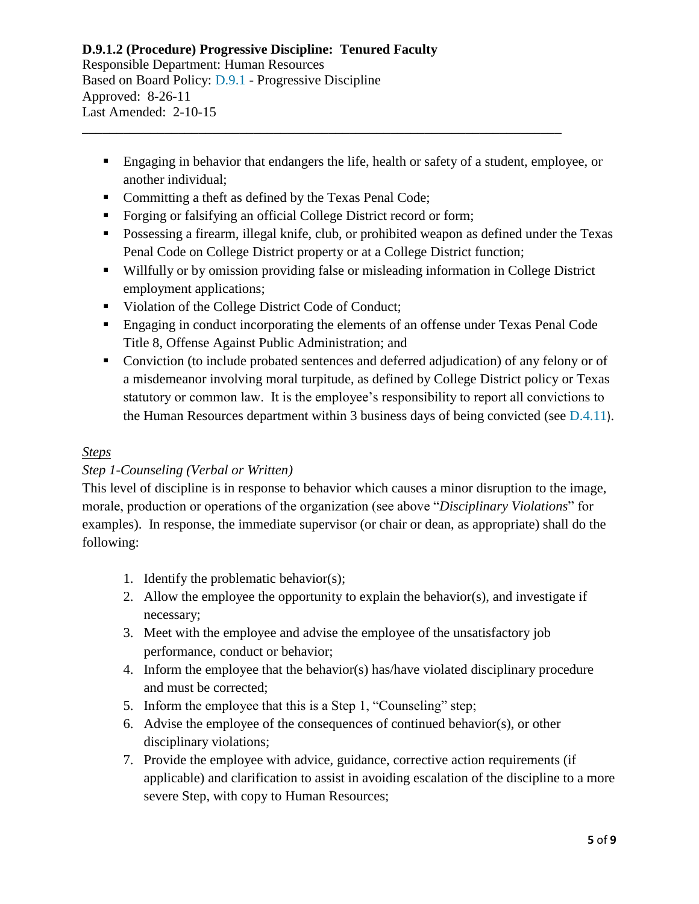## **D.9.1.2 (Procedure) Progressive Discipline: Tenured Faculty** Responsible Department: Human Resources Based on Board Policy: [D.9.1](https://www.alamo.edu/siteassets/district/about-us/leadership/board-of-trustees/policies-pdfs/section-d/d.9.1-policy.pdf) - Progressive Discipline Approved: 8-26-11

Last Amended: 2-10-15 \_\_\_\_\_\_\_\_\_\_\_\_\_\_\_\_\_\_\_\_\_\_\_\_\_\_\_\_\_\_\_\_\_\_\_\_\_\_\_\_\_\_\_\_\_\_\_\_\_\_\_\_\_\_\_\_\_\_\_\_\_\_\_\_\_\_\_\_\_\_

- Engaging in behavior that endangers the life, health or safety of a student, employee, or another individual;
- Committing a theft as defined by the Texas Penal Code;
- Forging or falsifying an official College District record or form;
- Possessing a firearm, illegal knife, club, or prohibited weapon as defined under the Texas Penal Code on College District property or at a College District function;
- Willfully or by omission providing false or misleading information in College District employment applications;
- Violation of the College District Code of Conduct;
- Engaging in conduct incorporating the elements of an offense under Texas Penal Code Title 8, Offense Against Public Administration; and
- Conviction (to include probated sentences and deferred adjudication) of any felony or of a misdemeanor involving moral turpitude, as defined by College District policy or Texas statutory or common law. It is the employee's responsibility to report all convictions to the Human Resources department within 3 business days of being convicted (see [D.4.11](https://www.alamo.edu/siteassets/district/about-us/leadership/board-of-trustees/policies-pdfs/section-d/d.4.11-policy.pdf)).

## *Steps*

## *Step 1-Counseling (Verbal or Written)*

This level of discipline is in response to behavior which causes a minor disruption to the image, morale, production or operations of the organization (see above "*Disciplinary Violations*" for examples). In response, the immediate supervisor (or chair or dean, as appropriate) shall do the following:

- 1. Identify the problematic behavior(s);
- 2. Allow the employee the opportunity to explain the behavior(s), and investigate if necessary;
- 3. Meet with the employee and advise the employee of the unsatisfactory job performance, conduct or behavior;
- 4. Inform the employee that the behavior(s) has/have violated disciplinary procedure and must be corrected;
- 5. Inform the employee that this is a Step 1, "Counseling" step;
- 6. Advise the employee of the consequences of continued behavior(s), or other disciplinary violations;
- 7. Provide the employee with advice, guidance, corrective action requirements (if applicable) and clarification to assist in avoiding escalation of the discipline to a more severe Step, with copy to Human Resources;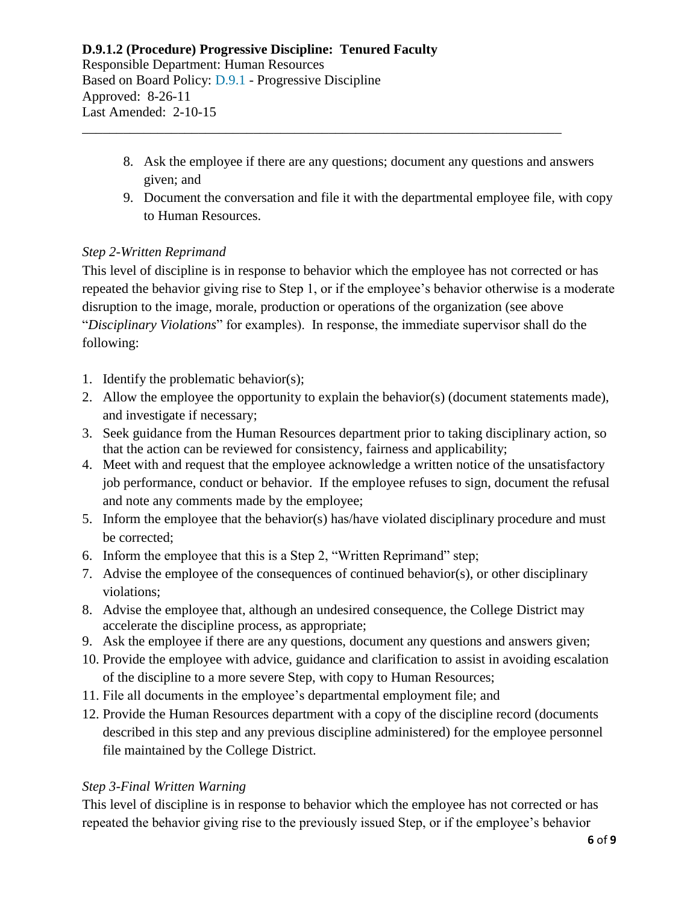#### **D.9.1.2 (Procedure) Progressive Discipline: Tenured Faculty** Responsible Department: Human Resources Based on Board Policy: [D.9.1](https://www.alamo.edu/siteassets/district/about-us/leadership/board-of-trustees/policies-pdfs/section-d/d.9.1-policy.pdf) - Progressive Discipline Approved: 8-26-11 Last Amended: 2-10-15

8. Ask the employee if there are any questions; document any questions and answers given; and

\_\_\_\_\_\_\_\_\_\_\_\_\_\_\_\_\_\_\_\_\_\_\_\_\_\_\_\_\_\_\_\_\_\_\_\_\_\_\_\_\_\_\_\_\_\_\_\_\_\_\_\_\_\_\_\_\_\_\_\_\_\_\_\_\_\_\_\_\_\_

9. Document the conversation and file it with the departmental employee file, with copy to Human Resources.

## *Step 2-Written Reprimand*

This level of discipline is in response to behavior which the employee has not corrected or has repeated the behavior giving rise to Step 1, or if the employee's behavior otherwise is a moderate disruption to the image, morale, production or operations of the organization (see above "*Disciplinary Violations*" for examples). In response, the immediate supervisor shall do the following:

- 1. Identify the problematic behavior(s);
- 2. Allow the employee the opportunity to explain the behavior(s) (document statements made), and investigate if necessary;
- 3. Seek guidance from the Human Resources department prior to taking disciplinary action, so that the action can be reviewed for consistency, fairness and applicability;
- 4. Meet with and request that the employee acknowledge a written notice of the unsatisfactory job performance, conduct or behavior. If the employee refuses to sign, document the refusal and note any comments made by the employee;
- 5. Inform the employee that the behavior(s) has/have violated disciplinary procedure and must be corrected;
- 6. Inform the employee that this is a Step 2, "Written Reprimand" step;
- 7. Advise the employee of the consequences of continued behavior(s), or other disciplinary violations;
- 8. Advise the employee that, although an undesired consequence, the College District may accelerate the discipline process, as appropriate;
- 9. Ask the employee if there are any questions, document any questions and answers given;
- 10. Provide the employee with advice, guidance and clarification to assist in avoiding escalation of the discipline to a more severe Step, with copy to Human Resources;
- 11. File all documents in the employee's departmental employment file; and
- 12. Provide the Human Resources department with a copy of the discipline record (documents described in this step and any previous discipline administered) for the employee personnel file maintained by the College District.

## *Step 3-Final Written Warning*

This level of discipline is in response to behavior which the employee has not corrected or has repeated the behavior giving rise to the previously issued Step, or if the employee's behavior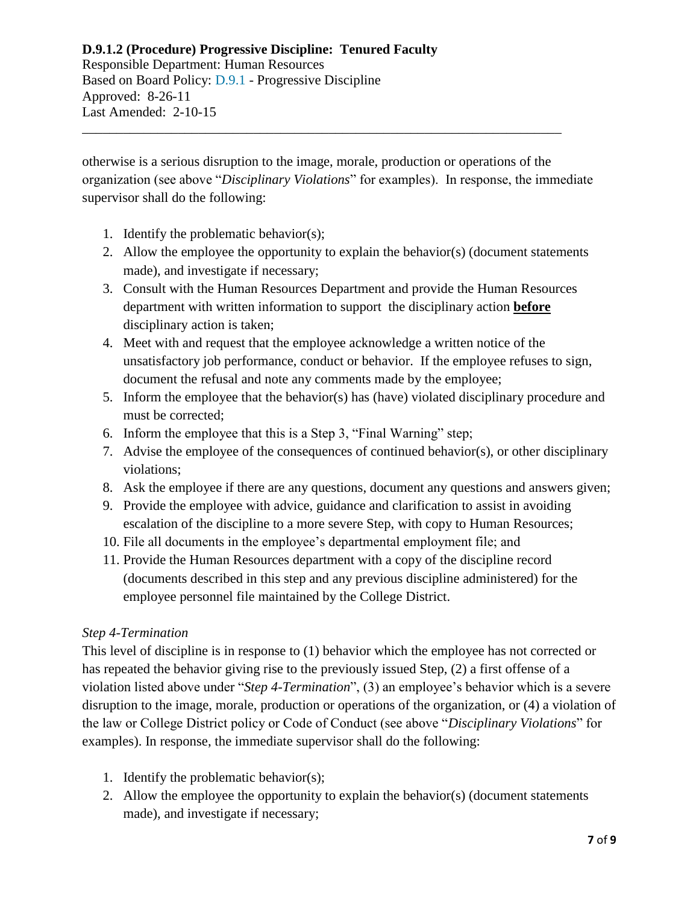Responsible Department: Human Resources Based on Board Policy: [D.9.1](https://www.alamo.edu/siteassets/district/about-us/leadership/board-of-trustees/policies-pdfs/section-d/d.9.1-policy.pdf) - Progressive Discipline Approved: 8-26-11 Last Amended: 2-10-15

otherwise is a serious disruption to the image, morale, production or operations of the organization (see above "*Disciplinary Violations*" for examples). In response, the immediate supervisor shall do the following:

\_\_\_\_\_\_\_\_\_\_\_\_\_\_\_\_\_\_\_\_\_\_\_\_\_\_\_\_\_\_\_\_\_\_\_\_\_\_\_\_\_\_\_\_\_\_\_\_\_\_\_\_\_\_\_\_\_\_\_\_\_\_\_\_\_\_\_\_\_\_

- 1. Identify the problematic behavior(s);
- 2. Allow the employee the opportunity to explain the behavior(s) (document statements made), and investigate if necessary;
- 3. Consult with the Human Resources Department and provide the Human Resources department with written information to support the disciplinary action **before** disciplinary action is taken;
- 4. Meet with and request that the employee acknowledge a written notice of the unsatisfactory job performance, conduct or behavior. If the employee refuses to sign, document the refusal and note any comments made by the employee;
- 5. Inform the employee that the behavior(s) has (have) violated disciplinary procedure and must be corrected;
- 6. Inform the employee that this is a Step 3, "Final Warning" step;
- 7. Advise the employee of the consequences of continued behavior(s), or other disciplinary violations;
- 8. Ask the employee if there are any questions, document any questions and answers given;
- 9. Provide the employee with advice, guidance and clarification to assist in avoiding escalation of the discipline to a more severe Step, with copy to Human Resources;
- 10. File all documents in the employee's departmental employment file; and
- 11. Provide the Human Resources department with a copy of the discipline record (documents described in this step and any previous discipline administered) for the employee personnel file maintained by the College District.

## *Step 4-Termination*

This level of discipline is in response to (1) behavior which the employee has not corrected or has repeated the behavior giving rise to the previously issued Step, (2) a first offense of a violation listed above under "*Step 4-Termination*", (3) an employee's behavior which is a severe disruption to the image, morale, production or operations of the organization, or (4) a violation of the law or College District policy or Code of Conduct (see above "*Disciplinary Violations*" for examples). In response, the immediate supervisor shall do the following:

- 1. Identify the problematic behavior(s);
- 2. Allow the employee the opportunity to explain the behavior(s) (document statements made), and investigate if necessary;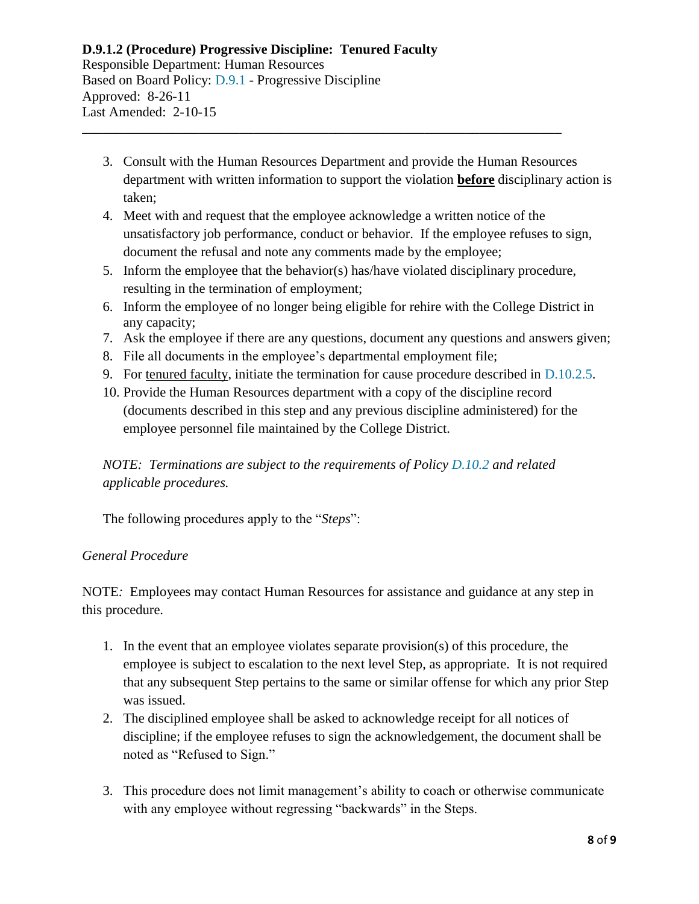#### **D.9.1.2 (Procedure) Progressive Discipline: Tenured Faculty** Responsible Department: Human Resources Based on Board Policy: [D.9.1](https://www.alamo.edu/siteassets/district/about-us/leadership/board-of-trustees/policies-pdfs/section-d/d.9.1-policy.pdf) - Progressive Discipline Approved: 8-26-11 Last Amended: 2-10-15

3. Consult with the Human Resources Department and provide the Human Resources department with written information to support the violation **before** disciplinary action is taken;

\_\_\_\_\_\_\_\_\_\_\_\_\_\_\_\_\_\_\_\_\_\_\_\_\_\_\_\_\_\_\_\_\_\_\_\_\_\_\_\_\_\_\_\_\_\_\_\_\_\_\_\_\_\_\_\_\_\_\_\_\_\_\_\_\_\_\_\_\_\_

- 4. Meet with and request that the employee acknowledge a written notice of the unsatisfactory job performance, conduct or behavior. If the employee refuses to sign, document the refusal and note any comments made by the employee;
- 5. Inform the employee that the behavior(s) has/have violated disciplinary procedure, resulting in the termination of employment;
- 6. Inform the employee of no longer being eligible for rehire with the College District in any capacity;
- 7. Ask the employee if there are any questions, document any questions and answers given;
- 8. File all documents in the employee's departmental employment file;
- 9. For tenured faculty, initiate the termination for cause procedure described in [D.10.2.5.](https://www.alamo.edu/siteassets/district/about-us/leadership/board-of-trustees/policies-pdfs/section-d/d.10.2.5-procedure.pdf)
- 10. Provide the Human Resources department with a copy of the discipline record (documents described in this step and any previous discipline administered) for the employee personnel file maintained by the College District.

# *NOTE: Terminations are subject to the requirements of Policy [D.10.2](https://www.alamo.edu/siteassets/district/about-us/leadership/board-of-trustees/policies-pdfs/section-d/d.10.2-policy.pdf) and related applicable procedures.*

The following procedures apply to the "*Steps*":

## *General Procedure*

NOTE*:* Employees may contact Human Resources for assistance and guidance at any step in this procedure.

- 1. In the event that an employee violates separate provision(s) of this procedure, the employee is subject to escalation to the next level Step, as appropriate. It is not required that any subsequent Step pertains to the same or similar offense for which any prior Step was issued.
- 2. The disciplined employee shall be asked to acknowledge receipt for all notices of discipline; if the employee refuses to sign the acknowledgement, the document shall be noted as "Refused to Sign."
- 3. This procedure does not limit management's ability to coach or otherwise communicate with any employee without regressing "backwards" in the Steps.